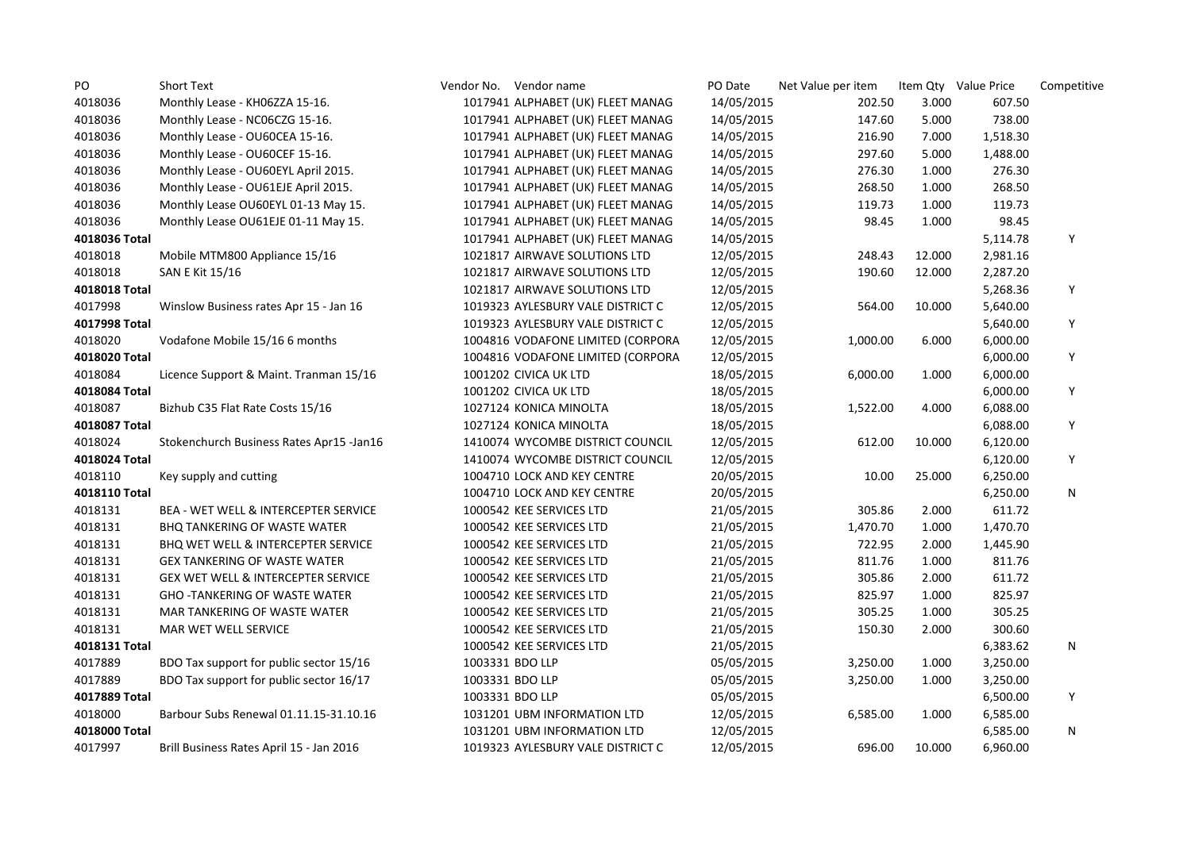| PO            | <b>Short Text</b>                             | Vendor No. Vendor name            | PO Date    | Net Value per item |        | Item Qty Value Price | Competitive |
|---------------|-----------------------------------------------|-----------------------------------|------------|--------------------|--------|----------------------|-------------|
| 4018036       | Monthly Lease - KH06ZZA 15-16.                | 1017941 ALPHABET (UK) FLEET MANAG | 14/05/2015 | 202.50             | 3.000  | 607.50               |             |
| 4018036       | Monthly Lease - NC06CZG 15-16.                | 1017941 ALPHABET (UK) FLEET MANAG | 14/05/2015 | 147.60             | 5.000  | 738.00               |             |
| 4018036       | Monthly Lease - OU60CEA 15-16.                | 1017941 ALPHABET (UK) FLEET MANAG | 14/05/2015 | 216.90             | 7.000  | 1,518.30             |             |
| 4018036       | Monthly Lease - OU60CEF 15-16.                | 1017941 ALPHABET (UK) FLEET MANAG | 14/05/2015 | 297.60             | 5.000  | 1,488.00             |             |
| 4018036       | Monthly Lease - OU60EYL April 2015.           | 1017941 ALPHABET (UK) FLEET MANAG | 14/05/2015 | 276.30             | 1.000  | 276.30               |             |
| 4018036       | Monthly Lease - OU61EJE April 2015.           | 1017941 ALPHABET (UK) FLEET MANAG | 14/05/2015 | 268.50             | 1.000  | 268.50               |             |
| 4018036       | Monthly Lease OU60EYL 01-13 May 15.           | 1017941 ALPHABET (UK) FLEET MANAG | 14/05/2015 | 119.73             | 1.000  | 119.73               |             |
| 4018036       | Monthly Lease OU61EJE 01-11 May 15.           | 1017941 ALPHABET (UK) FLEET MANAG | 14/05/2015 | 98.45              | 1.000  | 98.45                |             |
| 4018036 Total |                                               | 1017941 ALPHABET (UK) FLEET MANAG | 14/05/2015 |                    |        | 5,114.78             | Y           |
| 4018018       | Mobile MTM800 Appliance 15/16                 | 1021817 AIRWAVE SOLUTIONS LTD     | 12/05/2015 | 248.43             | 12.000 | 2,981.16             |             |
| 4018018       | SAN E Kit 15/16                               | 1021817 AIRWAVE SOLUTIONS LTD     | 12/05/2015 | 190.60             | 12.000 | 2,287.20             |             |
| 4018018 Total |                                               | 1021817 AIRWAVE SOLUTIONS LTD     | 12/05/2015 |                    |        | 5,268.36             | Υ           |
| 4017998       | Winslow Business rates Apr 15 - Jan 16        | 1019323 AYLESBURY VALE DISTRICT C | 12/05/2015 | 564.00             | 10.000 | 5,640.00             |             |
| 4017998 Total |                                               | 1019323 AYLESBURY VALE DISTRICT C | 12/05/2015 |                    |        | 5,640.00             | Υ           |
| 4018020       | Vodafone Mobile 15/16 6 months                | 1004816 VODAFONE LIMITED (CORPORA | 12/05/2015 | 1,000.00           | 6.000  | 6,000.00             |             |
| 4018020 Total |                                               | 1004816 VODAFONE LIMITED (CORPORA | 12/05/2015 |                    |        | 6,000.00             | Υ           |
| 4018084       | Licence Support & Maint. Tranman 15/16        | 1001202 CIVICA UK LTD             | 18/05/2015 | 6,000.00           | 1.000  | 6,000.00             |             |
| 4018084 Total |                                               | 1001202 CIVICA UK LTD             | 18/05/2015 |                    |        | 6,000.00             | Υ           |
| 4018087       | Bizhub C35 Flat Rate Costs 15/16              | 1027124 KONICA MINOLTA            | 18/05/2015 | 1,522.00           | 4.000  | 6,088.00             |             |
| 4018087 Total |                                               | 1027124 KONICA MINOLTA            | 18/05/2015 |                    |        | 6,088.00             | Υ           |
| 4018024       | Stokenchurch Business Rates Apr15 -Jan16      | 1410074 WYCOMBE DISTRICT COUNCIL  | 12/05/2015 | 612.00             | 10.000 | 6,120.00             |             |
| 4018024 Total |                                               | 1410074 WYCOMBE DISTRICT COUNCIL  | 12/05/2015 |                    |        | 6,120.00             | Υ           |
| 4018110       | Key supply and cutting                        | 1004710 LOCK AND KEY CENTRE       | 20/05/2015 | 10.00              | 25.000 | 6,250.00             |             |
| 4018110 Total |                                               | 1004710 LOCK AND KEY CENTRE       | 20/05/2015 |                    |        | 6,250.00             | N           |
| 4018131       | BEA - WET WELL & INTERCEPTER SERVICE          | 1000542 KEE SERVICES LTD          | 21/05/2015 | 305.86             | 2.000  | 611.72               |             |
| 4018131       | <b>BHQ TANKERING OF WASTE WATER</b>           | 1000542 KEE SERVICES LTD          | 21/05/2015 | 1,470.70           | 1.000  | 1,470.70             |             |
| 4018131       | BHQ WET WELL & INTERCEPTER SERVICE            | 1000542 KEE SERVICES LTD          | 21/05/2015 | 722.95             | 2.000  | 1,445.90             |             |
| 4018131       | <b>GEX TANKERING OF WASTE WATER</b>           | 1000542 KEE SERVICES LTD          | 21/05/2015 | 811.76             | 1.000  | 811.76               |             |
| 4018131       | <b>GEX WET WELL &amp; INTERCEPTER SERVICE</b> | 1000542 KEE SERVICES LTD          | 21/05/2015 | 305.86             | 2.000  | 611.72               |             |
| 4018131       | <b>GHO-TANKERING OF WASTE WATER</b>           | 1000542 KEE SERVICES LTD          | 21/05/2015 | 825.97             | 1.000  | 825.97               |             |
| 4018131       | MAR TANKERING OF WASTE WATER                  | 1000542 KEE SERVICES LTD          | 21/05/2015 | 305.25             | 1.000  | 305.25               |             |
| 4018131       | MAR WET WELL SERVICE                          | 1000542 KEE SERVICES LTD          | 21/05/2015 | 150.30             | 2.000  | 300.60               |             |
| 4018131 Total |                                               | 1000542 KEE SERVICES LTD          | 21/05/2015 |                    |        | 6,383.62             | N           |
| 4017889       | BDO Tax support for public sector 15/16       | 1003331 BDO LLP                   | 05/05/2015 | 3,250.00           | 1.000  | 3,250.00             |             |
| 4017889       | BDO Tax support for public sector 16/17       | 1003331 BDO LLP                   | 05/05/2015 | 3,250.00           | 1.000  | 3,250.00             |             |
| 4017889 Total |                                               | 1003331 BDO LLP                   | 05/05/2015 |                    |        | 6,500.00             | Υ           |
| 4018000       | Barbour Subs Renewal 01.11.15-31.10.16        | 1031201 UBM INFORMATION LTD       | 12/05/2015 | 6,585.00           | 1.000  | 6,585.00             |             |
| 4018000 Total |                                               | 1031201 UBM INFORMATION LTD       | 12/05/2015 |                    |        | 6,585.00             | N           |
| 4017997       | Brill Business Rates April 15 - Jan 2016      | 1019323 AYLESBURY VALE DISTRICT C | 12/05/2015 | 696.00             | 10.000 | 6,960.00             |             |
|               |                                               |                                   |            |                    |        |                      |             |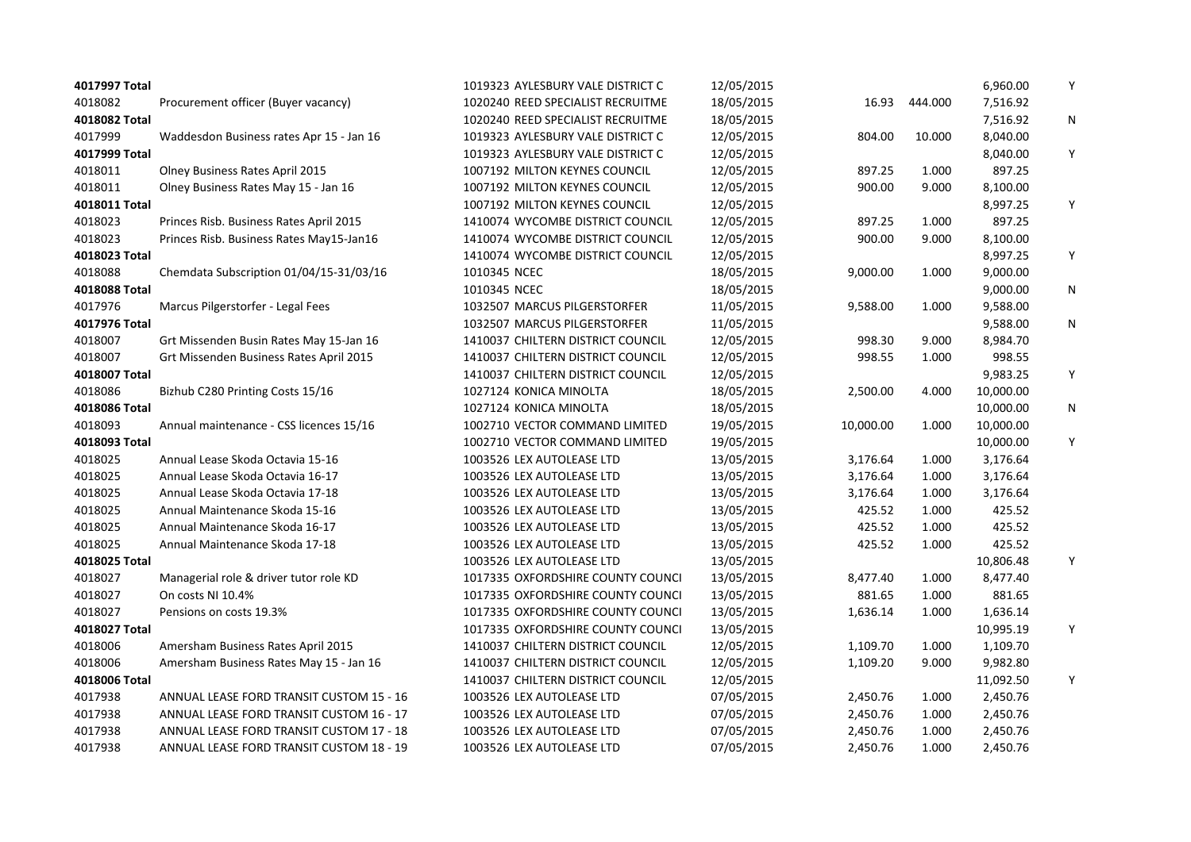| 4017997 Total |                                          | 1019323 AYLESBURY VALE DISTRICT C | 12/05/2015 |           |         | 6,960.00  | Y         |
|---------------|------------------------------------------|-----------------------------------|------------|-----------|---------|-----------|-----------|
| 4018082       | Procurement officer (Buyer vacancy)      | 1020240 REED SPECIALIST RECRUITME | 18/05/2015 | 16.93     | 444.000 | 7,516.92  |           |
| 4018082 Total |                                          | 1020240 REED SPECIALIST RECRUITME | 18/05/2015 |           |         | 7,516.92  | ${\sf N}$ |
| 4017999       | Waddesdon Business rates Apr 15 - Jan 16 | 1019323 AYLESBURY VALE DISTRICT C | 12/05/2015 | 804.00    | 10.000  | 8,040.00  |           |
| 4017999 Total |                                          | 1019323 AYLESBURY VALE DISTRICT C | 12/05/2015 |           |         | 8,040.00  | Υ         |
| 4018011       | Olney Business Rates April 2015          | 1007192 MILTON KEYNES COUNCIL     | 12/05/2015 | 897.25    | 1.000   | 897.25    |           |
| 4018011       | Olney Business Rates May 15 - Jan 16     | 1007192 MILTON KEYNES COUNCIL     | 12/05/2015 | 900.00    | 9.000   | 8,100.00  |           |
| 4018011 Total |                                          | 1007192 MILTON KEYNES COUNCIL     | 12/05/2015 |           |         | 8,997.25  | Υ         |
| 4018023       | Princes Risb. Business Rates April 2015  | 1410074 WYCOMBE DISTRICT COUNCIL  | 12/05/2015 | 897.25    | 1.000   | 897.25    |           |
| 4018023       | Princes Risb. Business Rates May15-Jan16 | 1410074 WYCOMBE DISTRICT COUNCIL  | 12/05/2015 | 900.00    | 9.000   | 8,100.00  |           |
| 4018023 Total |                                          | 1410074 WYCOMBE DISTRICT COUNCIL  | 12/05/2015 |           |         | 8,997.25  | Υ         |
| 4018088       | Chemdata Subscription 01/04/15-31/03/16  | 1010345 NCEC                      | 18/05/2015 | 9,000.00  | 1.000   | 9,000.00  |           |
| 4018088 Total |                                          | 1010345 NCEC                      | 18/05/2015 |           |         | 9,000.00  | Ν         |
| 4017976       | Marcus Pilgerstorfer - Legal Fees        | 1032507 MARCUS PILGERSTORFER      | 11/05/2015 | 9,588.00  | 1.000   | 9,588.00  |           |
| 4017976 Total |                                          | 1032507 MARCUS PILGERSTORFER      | 11/05/2015 |           |         | 9,588.00  | N         |
| 4018007       | Grt Missenden Busin Rates May 15-Jan 16  | 1410037 CHILTERN DISTRICT COUNCIL | 12/05/2015 | 998.30    | 9.000   | 8,984.70  |           |
| 4018007       | Grt Missenden Business Rates April 2015  | 1410037 CHILTERN DISTRICT COUNCIL | 12/05/2015 | 998.55    | 1.000   | 998.55    |           |
| 4018007 Total |                                          | 1410037 CHILTERN DISTRICT COUNCIL | 12/05/2015 |           |         | 9,983.25  | Υ         |
| 4018086       | Bizhub C280 Printing Costs 15/16         | 1027124 KONICA MINOLTA            | 18/05/2015 | 2,500.00  | 4.000   | 10,000.00 |           |
| 4018086 Total |                                          | 1027124 KONICA MINOLTA            | 18/05/2015 |           |         | 10,000.00 | Ν         |
| 4018093       | Annual maintenance - CSS licences 15/16  | 1002710 VECTOR COMMAND LIMITED    | 19/05/2015 | 10,000.00 | 1.000   | 10,000.00 |           |
| 4018093 Total |                                          | 1002710 VECTOR COMMAND LIMITED    | 19/05/2015 |           |         | 10,000.00 | Υ         |
| 4018025       | Annual Lease Skoda Octavia 15-16         | 1003526 LEX AUTOLEASE LTD         | 13/05/2015 | 3,176.64  | 1.000   | 3,176.64  |           |
| 4018025       | Annual Lease Skoda Octavia 16-17         | 1003526 LEX AUTOLEASE LTD         | 13/05/2015 | 3,176.64  | 1.000   | 3,176.64  |           |
| 4018025       | Annual Lease Skoda Octavia 17-18         | 1003526 LEX AUTOLEASE LTD         | 13/05/2015 | 3,176.64  | 1.000   | 3,176.64  |           |
| 4018025       | Annual Maintenance Skoda 15-16           | 1003526 LEX AUTOLEASE LTD         | 13/05/2015 | 425.52    | 1.000   | 425.52    |           |
| 4018025       | Annual Maintenance Skoda 16-17           | 1003526 LEX AUTOLEASE LTD         | 13/05/2015 | 425.52    | 1.000   | 425.52    |           |
| 4018025       | Annual Maintenance Skoda 17-18           | 1003526 LEX AUTOLEASE LTD         | 13/05/2015 | 425.52    | 1.000   | 425.52    |           |
| 4018025 Total |                                          | 1003526 LEX AUTOLEASE LTD         | 13/05/2015 |           |         | 10,806.48 | Υ         |
| 4018027       | Managerial role & driver tutor role KD   | 1017335 OXFORDSHIRE COUNTY COUNCI | 13/05/2015 | 8,477.40  | 1.000   | 8,477.40  |           |
| 4018027       | On costs NI 10.4%                        | 1017335 OXFORDSHIRE COUNTY COUNCI | 13/05/2015 | 881.65    | 1.000   | 881.65    |           |
| 4018027       | Pensions on costs 19.3%                  | 1017335 OXFORDSHIRE COUNTY COUNCI | 13/05/2015 | 1,636.14  | 1.000   | 1,636.14  |           |
| 4018027 Total |                                          | 1017335 OXFORDSHIRE COUNTY COUNCI | 13/05/2015 |           |         | 10,995.19 | Y         |
| 4018006       | Amersham Business Rates April 2015       | 1410037 CHILTERN DISTRICT COUNCIL | 12/05/2015 | 1,109.70  | 1.000   | 1,109.70  |           |
| 4018006       | Amersham Business Rates May 15 - Jan 16  | 1410037 CHILTERN DISTRICT COUNCIL | 12/05/2015 | 1,109.20  | 9.000   | 9,982.80  |           |
| 4018006 Total |                                          | 1410037 CHILTERN DISTRICT COUNCIL | 12/05/2015 |           |         | 11,092.50 | Υ         |
| 4017938       | ANNUAL LEASE FORD TRANSIT CUSTOM 15 - 16 | 1003526 LEX AUTOLEASE LTD         | 07/05/2015 | 2,450.76  | 1.000   | 2,450.76  |           |
| 4017938       | ANNUAL LEASE FORD TRANSIT CUSTOM 16 - 17 | 1003526 LEX AUTOLEASE LTD         | 07/05/2015 | 2,450.76  | 1.000   | 2,450.76  |           |
| 4017938       | ANNUAL LEASE FORD TRANSIT CUSTOM 17 - 18 | 1003526 LEX AUTOLEASE LTD         | 07/05/2015 | 2,450.76  | 1.000   | 2,450.76  |           |
| 4017938       | ANNUAL LEASE FORD TRANSIT CUSTOM 18 - 19 | 1003526 LEX AUTOLEASE LTD         | 07/05/2015 | 2,450.76  | 1.000   | 2,450.76  |           |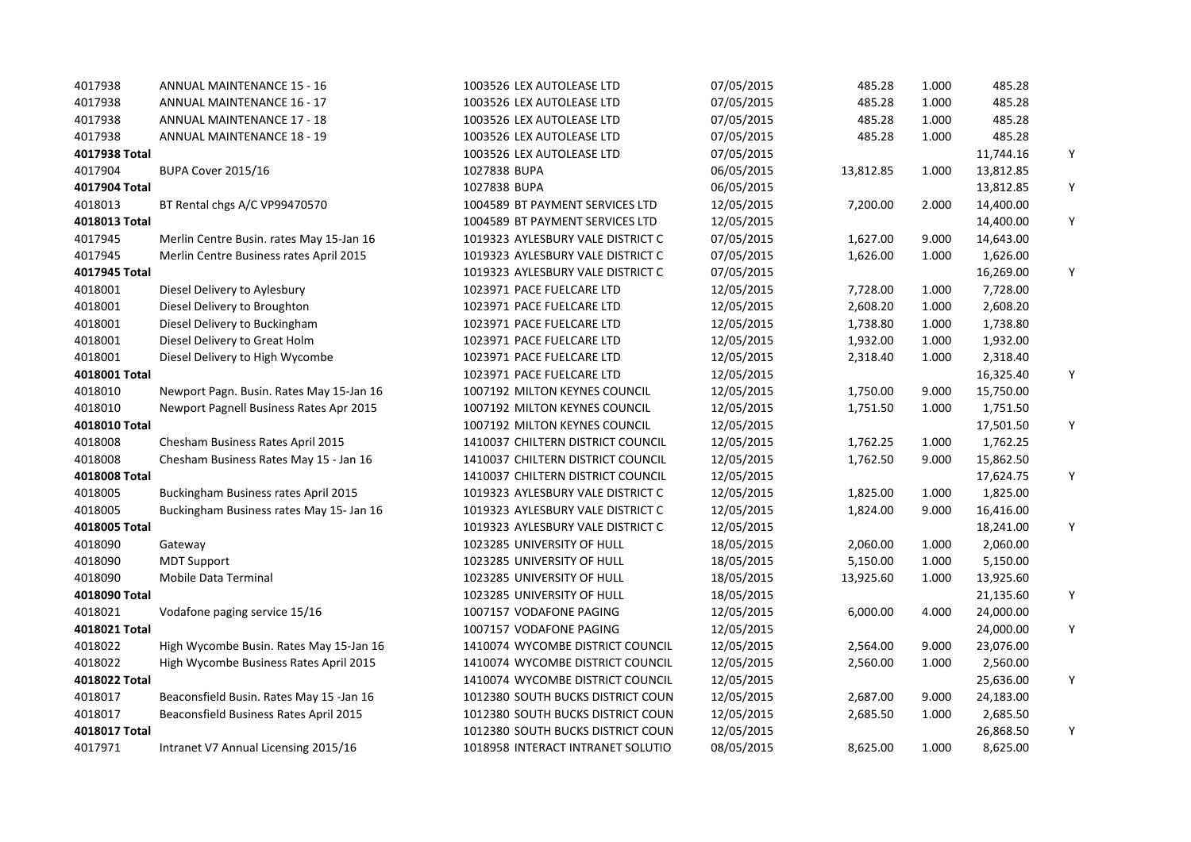| 4017938       | <b>ANNUAL MAINTENANCE 15 - 16</b>        | 1003526 LEX AUTOLEASE LTD         | 07/05/2015 | 485.28    | 1.000 | 485.28    |   |
|---------------|------------------------------------------|-----------------------------------|------------|-----------|-------|-----------|---|
| 4017938       | <b>ANNUAL MAINTENANCE 16 - 17</b>        | 1003526 LEX AUTOLEASE LTD         | 07/05/2015 | 485.28    | 1.000 | 485.28    |   |
| 4017938       | <b>ANNUAL MAINTENANCE 17 - 18</b>        | 1003526 LEX AUTOLEASE LTD         | 07/05/2015 | 485.28    | 1.000 | 485.28    |   |
| 4017938       | <b>ANNUAL MAINTENANCE 18 - 19</b>        | 1003526 LEX AUTOLEASE LTD         | 07/05/2015 | 485.28    | 1.000 | 485.28    |   |
| 4017938 Total |                                          | 1003526 LEX AUTOLEASE LTD         | 07/05/2015 |           |       | 11,744.16 | Y |
| 4017904       | BUPA Cover 2015/16                       | 1027838 BUPA                      | 06/05/2015 | 13,812.85 | 1.000 | 13,812.85 |   |
| 4017904 Total |                                          | 1027838 BUPA                      | 06/05/2015 |           |       | 13,812.85 | Y |
| 4018013       | BT Rental chgs A/C VP99470570            | 1004589 BT PAYMENT SERVICES LTD   | 12/05/2015 | 7,200.00  | 2.000 | 14,400.00 |   |
| 4018013 Total |                                          | 1004589 BT PAYMENT SERVICES LTD   | 12/05/2015 |           |       | 14,400.00 | Υ |
| 4017945       | Merlin Centre Busin. rates May 15-Jan 16 | 1019323 AYLESBURY VALE DISTRICT C | 07/05/2015 | 1,627.00  | 9.000 | 14,643.00 |   |
| 4017945       | Merlin Centre Business rates April 2015  | 1019323 AYLESBURY VALE DISTRICT C | 07/05/2015 | 1,626.00  | 1.000 | 1,626.00  |   |
| 4017945 Total |                                          | 1019323 AYLESBURY VALE DISTRICT C | 07/05/2015 |           |       | 16,269.00 | Y |
| 4018001       | Diesel Delivery to Aylesbury             | 1023971 PACE FUELCARE LTD         | 12/05/2015 | 7,728.00  | 1.000 | 7,728.00  |   |
| 4018001       | Diesel Delivery to Broughton             | 1023971 PACE FUELCARE LTD         | 12/05/2015 | 2,608.20  | 1.000 | 2,608.20  |   |
| 4018001       | Diesel Delivery to Buckingham            | 1023971 PACE FUELCARE LTD         | 12/05/2015 | 1,738.80  | 1.000 | 1,738.80  |   |
| 4018001       | Diesel Delivery to Great Holm            | 1023971 PACE FUELCARE LTD         | 12/05/2015 | 1,932.00  | 1.000 | 1,932.00  |   |
| 4018001       | Diesel Delivery to High Wycombe          | 1023971 PACE FUELCARE LTD         | 12/05/2015 | 2,318.40  | 1.000 | 2,318.40  |   |
| 4018001 Total |                                          | 1023971 PACE FUELCARE LTD         | 12/05/2015 |           |       | 16,325.40 | Y |
| 4018010       | Newport Pagn. Busin. Rates May 15-Jan 16 | 1007192 MILTON KEYNES COUNCIL     | 12/05/2015 | 1,750.00  | 9.000 | 15,750.00 |   |
| 4018010       | Newport Pagnell Business Rates Apr 2015  | 1007192 MILTON KEYNES COUNCIL     | 12/05/2015 | 1,751.50  | 1.000 | 1,751.50  |   |
| 4018010 Total |                                          | 1007192 MILTON KEYNES COUNCIL     | 12/05/2015 |           |       | 17,501.50 | Y |
| 4018008       | Chesham Business Rates April 2015        | 1410037 CHILTERN DISTRICT COUNCIL | 12/05/2015 | 1,762.25  | 1.000 | 1,762.25  |   |
| 4018008       | Chesham Business Rates May 15 - Jan 16   | 1410037 CHILTERN DISTRICT COUNCIL | 12/05/2015 | 1,762.50  | 9.000 | 15,862.50 |   |
| 4018008 Total |                                          | 1410037 CHILTERN DISTRICT COUNCIL | 12/05/2015 |           |       | 17,624.75 | Y |
| 4018005       | Buckingham Business rates April 2015     | 1019323 AYLESBURY VALE DISTRICT C | 12/05/2015 | 1,825.00  | 1.000 | 1,825.00  |   |
| 4018005       | Buckingham Business rates May 15- Jan 16 | 1019323 AYLESBURY VALE DISTRICT C | 12/05/2015 | 1,824.00  | 9.000 | 16,416.00 |   |
| 4018005 Total |                                          | 1019323 AYLESBURY VALE DISTRICT C | 12/05/2015 |           |       | 18,241.00 | Y |
| 4018090       | Gateway                                  | 1023285 UNIVERSITY OF HULL        | 18/05/2015 | 2,060.00  | 1.000 | 2,060.00  |   |
| 4018090       | <b>MDT Support</b>                       | 1023285 UNIVERSITY OF HULL        | 18/05/2015 | 5,150.00  | 1.000 | 5,150.00  |   |
| 4018090       | Mobile Data Terminal                     | 1023285 UNIVERSITY OF HULL        | 18/05/2015 | 13,925.60 | 1.000 | 13,925.60 |   |
| 4018090 Total |                                          | 1023285 UNIVERSITY OF HULL        | 18/05/2015 |           |       | 21,135.60 | Y |
| 4018021       | Vodafone paging service 15/16            | 1007157 VODAFONE PAGING           | 12/05/2015 | 6,000.00  | 4.000 | 24,000.00 |   |
| 4018021 Total |                                          | 1007157 VODAFONE PAGING           | 12/05/2015 |           |       | 24,000.00 | Y |
| 4018022       | High Wycombe Busin. Rates May 15-Jan 16  | 1410074 WYCOMBE DISTRICT COUNCIL  | 12/05/2015 | 2,564.00  | 9.000 | 23,076.00 |   |
| 4018022       | High Wycombe Business Rates April 2015   | 1410074 WYCOMBE DISTRICT COUNCIL  | 12/05/2015 | 2,560.00  | 1.000 | 2,560.00  |   |
| 4018022 Total |                                          | 1410074 WYCOMBE DISTRICT COUNCIL  | 12/05/2015 |           |       | 25,636.00 | Y |
| 4018017       | Beaconsfield Busin. Rates May 15 -Jan 16 | 1012380 SOUTH BUCKS DISTRICT COUN | 12/05/2015 | 2,687.00  | 9.000 | 24,183.00 |   |
| 4018017       | Beaconsfield Business Rates April 2015   | 1012380 SOUTH BUCKS DISTRICT COUN | 12/05/2015 | 2,685.50  | 1.000 | 2,685.50  |   |
| 4018017 Total |                                          | 1012380 SOUTH BUCKS DISTRICT COUN | 12/05/2015 |           |       | 26,868.50 | Y |
| 4017971       | Intranet V7 Annual Licensing 2015/16     | 1018958 INTERACT INTRANET SOLUTIO | 08/05/2015 | 8,625.00  | 1.000 | 8,625.00  |   |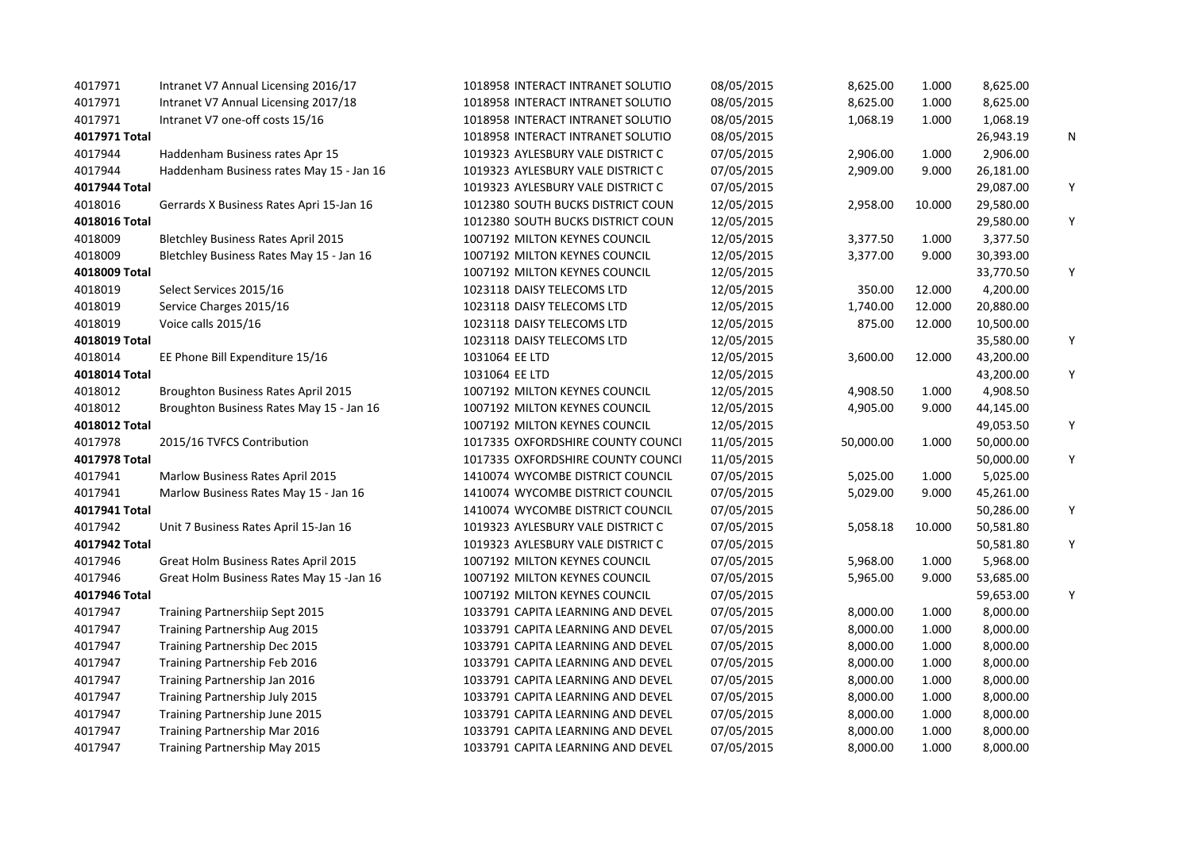| 4017971       | Intranet V7 Annual Licensing 2016/17       | 1018958 INTERACT INTRANET SOLUTIO | 08/05/2015 | 8,625.00  | 1.000  | 8,625.00  |   |
|---------------|--------------------------------------------|-----------------------------------|------------|-----------|--------|-----------|---|
| 4017971       | Intranet V7 Annual Licensing 2017/18       | 1018958 INTERACT INTRANET SOLUTIO | 08/05/2015 | 8,625.00  | 1.000  | 8,625.00  |   |
| 4017971       | Intranet V7 one-off costs 15/16            | 1018958 INTERACT INTRANET SOLUTIO | 08/05/2015 | 1,068.19  | 1.000  | 1,068.19  |   |
| 4017971 Total |                                            | 1018958 INTERACT INTRANET SOLUTIO | 08/05/2015 |           |        | 26,943.19 | N |
| 4017944       | Haddenham Business rates Apr 15            | 1019323 AYLESBURY VALE DISTRICT C | 07/05/2015 | 2,906.00  | 1.000  | 2,906.00  |   |
| 4017944       | Haddenham Business rates May 15 - Jan 16   | 1019323 AYLESBURY VALE DISTRICT C | 07/05/2015 | 2,909.00  | 9.000  | 26,181.00 |   |
| 4017944 Total |                                            | 1019323 AYLESBURY VALE DISTRICT C | 07/05/2015 |           |        | 29,087.00 | Y |
| 4018016       | Gerrards X Business Rates Apri 15-Jan 16   | 1012380 SOUTH BUCKS DISTRICT COUN | 12/05/2015 | 2,958.00  | 10.000 | 29,580.00 |   |
| 4018016 Total |                                            | 1012380 SOUTH BUCKS DISTRICT COUN | 12/05/2015 |           |        | 29,580.00 | Y |
| 4018009       | <b>Bletchley Business Rates April 2015</b> | 1007192 MILTON KEYNES COUNCIL     | 12/05/2015 | 3,377.50  | 1.000  | 3,377.50  |   |
| 4018009       | Bletchley Business Rates May 15 - Jan 16   | 1007192 MILTON KEYNES COUNCIL     | 12/05/2015 | 3,377.00  | 9.000  | 30,393.00 |   |
| 4018009 Total |                                            | 1007192 MILTON KEYNES COUNCIL     | 12/05/2015 |           |        | 33,770.50 | Y |
| 4018019       | Select Services 2015/16                    | 1023118 DAISY TELECOMS LTD        | 12/05/2015 | 350.00    | 12.000 | 4,200.00  |   |
| 4018019       | Service Charges 2015/16                    | 1023118 DAISY TELECOMS LTD        | 12/05/2015 | 1,740.00  | 12.000 | 20,880.00 |   |
| 4018019       | Voice calls 2015/16                        | 1023118 DAISY TELECOMS LTD        | 12/05/2015 | 875.00    | 12.000 | 10,500.00 |   |
| 4018019 Total |                                            | 1023118 DAISY TELECOMS LTD        | 12/05/2015 |           |        | 35,580.00 | Υ |
| 4018014       | EE Phone Bill Expenditure 15/16            | 1031064 EE LTD                    | 12/05/2015 | 3,600.00  | 12.000 | 43,200.00 |   |
| 4018014 Total |                                            | 1031064 EE LTD                    | 12/05/2015 |           |        | 43,200.00 | Y |
| 4018012       | Broughton Business Rates April 2015        | 1007192 MILTON KEYNES COUNCIL     | 12/05/2015 | 4,908.50  | 1.000  | 4,908.50  |   |
| 4018012       | Broughton Business Rates May 15 - Jan 16   | 1007192 MILTON KEYNES COUNCIL     | 12/05/2015 | 4,905.00  | 9.000  | 44,145.00 |   |
| 4018012 Total |                                            | 1007192 MILTON KEYNES COUNCIL     | 12/05/2015 |           |        | 49,053.50 | Y |
| 4017978       | 2015/16 TVFCS Contribution                 | 1017335 OXFORDSHIRE COUNTY COUNCI | 11/05/2015 | 50,000.00 | 1.000  | 50,000.00 |   |
| 4017978 Total |                                            | 1017335 OXFORDSHIRE COUNTY COUNCI | 11/05/2015 |           |        | 50,000.00 | Y |
| 4017941       | Marlow Business Rates April 2015           | 1410074 WYCOMBE DISTRICT COUNCIL  | 07/05/2015 | 5,025.00  | 1.000  | 5,025.00  |   |
| 4017941       | Marlow Business Rates May 15 - Jan 16      | 1410074 WYCOMBE DISTRICT COUNCIL  | 07/05/2015 | 5,029.00  | 9.000  | 45,261.00 |   |
| 4017941 Total |                                            | 1410074 WYCOMBE DISTRICT COUNCIL  | 07/05/2015 |           |        | 50,286.00 | Y |
| 4017942       | Unit 7 Business Rates April 15-Jan 16      | 1019323 AYLESBURY VALE DISTRICT C | 07/05/2015 | 5,058.18  | 10.000 | 50,581.80 |   |
| 4017942 Total |                                            | 1019323 AYLESBURY VALE DISTRICT C | 07/05/2015 |           |        | 50,581.80 | Y |
| 4017946       | Great Holm Business Rates April 2015       | 1007192 MILTON KEYNES COUNCIL     | 07/05/2015 | 5,968.00  | 1.000  | 5,968.00  |   |
| 4017946       | Great Holm Business Rates May 15 -Jan 16   | 1007192 MILTON KEYNES COUNCIL     | 07/05/2015 | 5,965.00  | 9.000  | 53,685.00 |   |
| 4017946 Total |                                            | 1007192 MILTON KEYNES COUNCIL     | 07/05/2015 |           |        | 59,653.00 | Y |
| 4017947       | Training Partnershiip Sept 2015            | 1033791 CAPITA LEARNING AND DEVEL | 07/05/2015 | 8,000.00  | 1.000  | 8,000.00  |   |
| 4017947       | Training Partnership Aug 2015              | 1033791 CAPITA LEARNING AND DEVEL | 07/05/2015 | 8,000.00  | 1.000  | 8,000.00  |   |
| 4017947       | Training Partnership Dec 2015              | 1033791 CAPITA LEARNING AND DEVEL | 07/05/2015 | 8,000.00  | 1.000  | 8,000.00  |   |
| 4017947       | Training Partnership Feb 2016              | 1033791 CAPITA LEARNING AND DEVEL | 07/05/2015 | 8,000.00  | 1.000  | 8,000.00  |   |
| 4017947       | Training Partnership Jan 2016              | 1033791 CAPITA LEARNING AND DEVEL | 07/05/2015 | 8,000.00  | 1.000  | 8,000.00  |   |
| 4017947       | Training Partnership July 2015             | 1033791 CAPITA LEARNING AND DEVEL | 07/05/2015 | 8,000.00  | 1.000  | 8,000.00  |   |
| 4017947       | Training Partnership June 2015             | 1033791 CAPITA LEARNING AND DEVEL | 07/05/2015 | 8,000.00  | 1.000  | 8,000.00  |   |
| 4017947       | Training Partnership Mar 2016              | 1033791 CAPITA LEARNING AND DEVEL | 07/05/2015 | 8,000.00  | 1.000  | 8,000.00  |   |
| 4017947       | Training Partnership May 2015              | 1033791 CAPITA LEARNING AND DEVEL | 07/05/2015 | 8,000.00  | 1.000  | 8,000.00  |   |
|               |                                            |                                   |            |           |        |           |   |